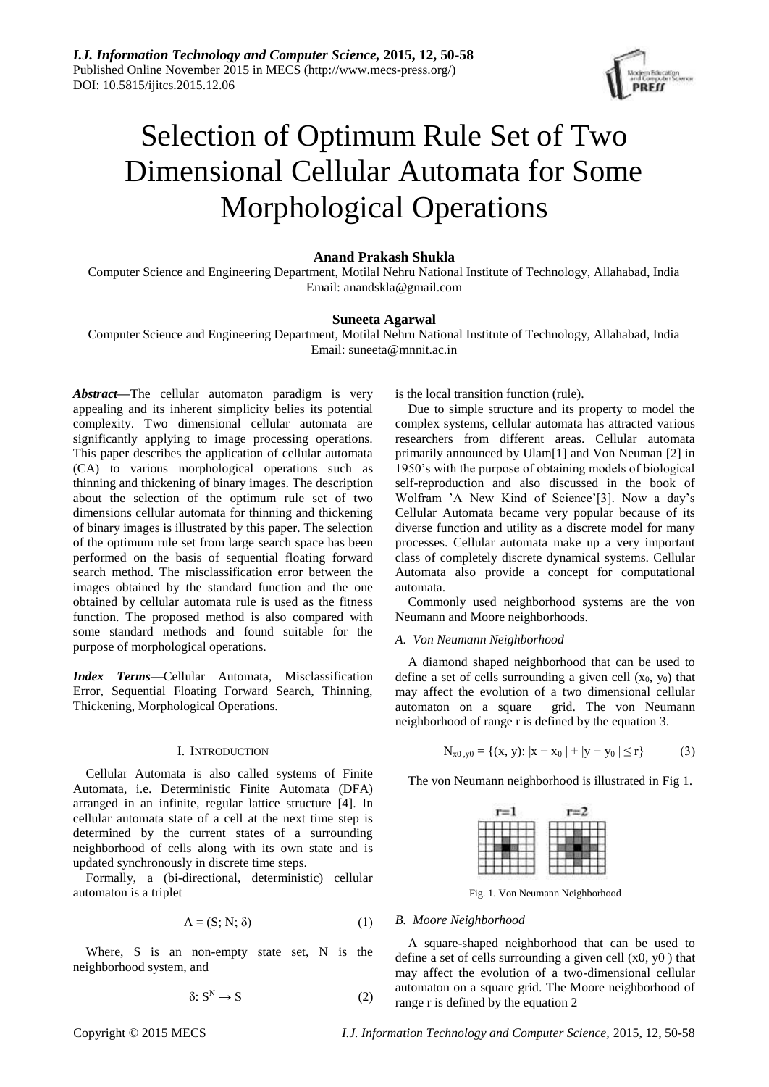

# Selection of Optimum Rule Set of Two Dimensional Cellular Automata for Some Morphological Operations

## **Anand Prakash Shukla**

Computer Science and Engineering Department, Motilal Nehru National Institute of Technology, Allahabad, India Email: anandskla@gmail.com

# **Suneeta Agarwal**

Computer Science and Engineering Department, Motilal Nehru National Institute of Technology, Allahabad, India Email: suneeta@mnnit.ac.in

*Abstract***—**The cellular automaton paradigm is very appealing and its inherent simplicity belies its potential complexity. Two dimensional cellular automata are significantly applying to image processing operations. This paper describes the application of cellular automata (CA) to various morphological operations such as thinning and thickening of binary images. The description about the selection of the optimum rule set of two dimensions cellular automata for thinning and thickening of binary images is illustrated by this paper. The selection of the optimum rule set from large search space has been performed on the basis of sequential floating forward search method. The misclassification error between the images obtained by the standard function and the one obtained by cellular automata rule is used as the fitness function. The proposed method is also compared with some standard methods and found suitable for the purpose of morphological operations.

*Index Terms***—**Cellular Automata, Misclassification Error, Sequential Floating Forward Search, Thinning, Thickening, Morphological Operations.

#### I. INTRODUCTION

Cellular Automata is also called systems of Finite Automata, i.e. Deterministic Finite Automata (DFA) arranged in an infinite, regular lattice structure [4]. In cellular automata state of a cell at the next time step is determined by the current states of a surrounding neighborhood of cells along with its own state and is updated synchronously in discrete time steps.

Formally, a (bi-directional, deterministic) cellular automaton is a triplet

$$
A = (S; N; \delta) \tag{1}
$$

Where, S is an non-empty state set, N is the neighborhood system, and

$$
\delta: S^N \to S \tag{2}
$$

is the local transition function (rule).

Due to simple structure and its property to model the complex systems, cellular automata has attracted various researchers from different areas. Cellular automata primarily announced by Ulam[1] and Von Neuman [2] in 1950's with the purpose of obtaining models of biological self-reproduction and also discussed in the book of Wolfram 'A New Kind of Science'[3]. Now a day's Cellular Automata became very popular because of its diverse function and utility as a discrete model for many processes. Cellular automata make up a very important class of completely discrete dynamical systems. Cellular Automata also provide a concept for computational automata.

Commonly used neighborhood systems are the von Neumann and Moore neighborhoods.

## *A. Von Neumann Neighborhood*

A diamond shaped neighborhood that can be used to define a set of cells surrounding a given cell  $(x_0, y_0)$  that may affect the evolution of a two dimensional cellular automaton on a square grid. The von Neumann neighborhood of range r is defined by the equation 3.

$$
N_{x0, y0} = \{(x, y): |x - x_0| + |y - y_0| \le r\}
$$
 (3)

The von Neumann neighborhood is illustrated in Fig 1.

Fig. 1. Von Neumann Neighborhood

#### *B. Moore Neighborhood*

A square-shaped neighborhood that can be used to define a set of cells surrounding a given cell (x0, y0 ) that may affect the evolution of a two-dimensional cellular automaton on a square grid. The Moore neighborhood of range r is defined by the equation 2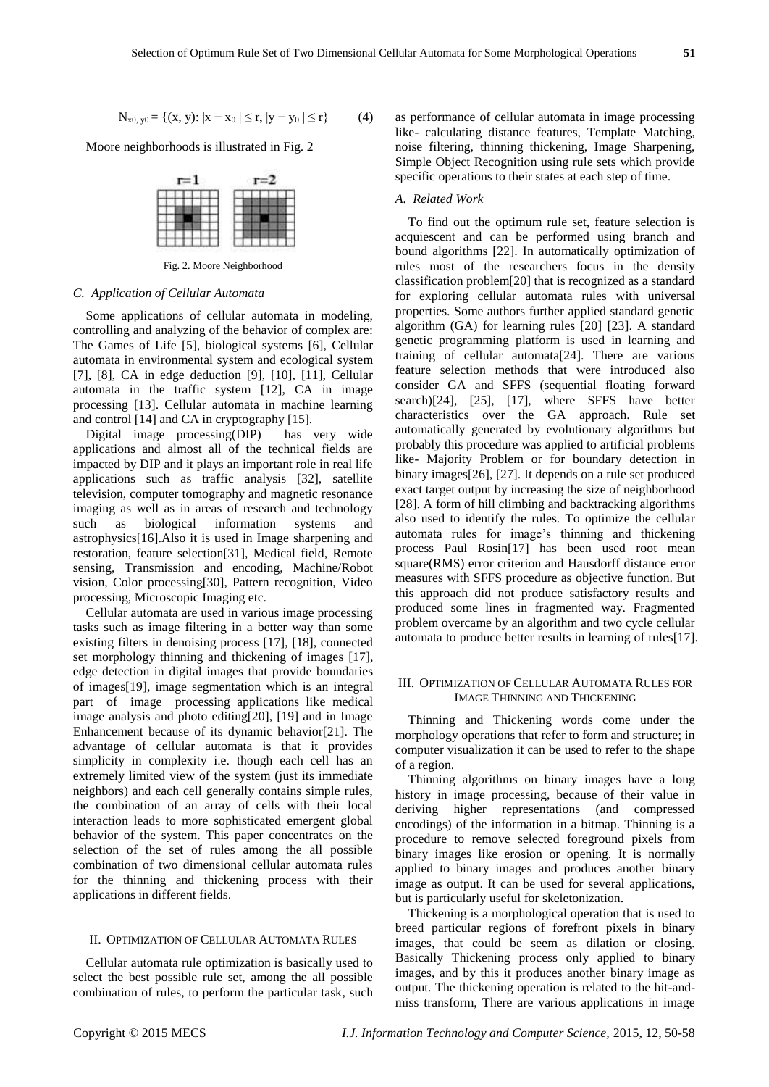$$
N_{x0, y0} = \{(x, y): |x - x_0| \le r, |y - y_0| \le r\}
$$
 (4)

Moore neighborhoods is illustrated in Fig. 2



Fig. 2. Moore Neighborhood

## *C. Application of Cellular Automata*

Some applications of cellular automata in modeling, controlling and analyzing of the behavior of complex are: The Games of Life [5], biological systems [6], Cellular automata in environmental system and ecological system [7], [8], CA in edge deduction [9], [10], [11], Cellular automata in the traffic system [12], CA in image processing [13]. Cellular automata in machine learning and control [14] and CA in cryptography [15].

Digital image processing(DIP) has very wide applications and almost all of the technical fields are impacted by DIP and it plays an important role in real life applications such as traffic analysis [32], satellite television, computer tomography and magnetic resonance imaging as well as in areas of research and technology such as biological information systems and astrophysics[16].Also it is used in Image sharpening and restoration, feature selection[31], Medical field, Remote sensing, Transmission and encoding, Machine/Robot vision, Color processing[30], Pattern recognition, Video processing, Microscopic Imaging etc.

Cellular automata are used in various image processing tasks such as image filtering in a better way than some existing filters in denoising process [17], [18], connected set morphology thinning and thickening of images [17], edge detection in digital images that provide boundaries of images[19], image segmentation which is an integral part of image processing applications like medical image analysis and photo editing[20], [19] and in Image Enhancement because of its dynamic behavior[21]. The advantage of cellular automata is that it provides simplicity in complexity i.e. though each cell has an extremely limited view of the system (just its immediate neighbors) and each cell generally contains simple rules, the combination of an array of cells with their local interaction leads to more sophisticated emergent global behavior of the system. This paper concentrates on the selection of the set of rules among the all possible combination of two dimensional cellular automata rules for the thinning and thickening process with their applications in different fields.

# II. OPTIMIZATION OF CELLULAR AUTOMATA RULES

Cellular automata rule optimization is basically used to select the best possible rule set, among the all possible combination of rules, to perform the particular task, such as performance of cellular automata in image processing like- calculating distance features, Template Matching, noise filtering, thinning thickening, Image Sharpening, Simple Object Recognition using rule sets which provide specific operations to their states at each step of time.

#### *A. Related Work*

To find out the optimum rule set, feature selection is acquiescent and can be performed using branch and bound algorithms [22]. In automatically optimization of rules most of the researchers focus in the density classification problem[20] that is recognized as a standard for exploring cellular automata rules with universal properties. Some authors further applied standard genetic algorithm (GA) for learning rules [20] [23]. A standard genetic programming platform is used in learning and training of cellular automata[24]. There are various feature selection methods that were introduced also consider GA and SFFS (sequential floating forward search)[24], [25], [17], where SFFS have better characteristics over the GA approach. Rule set automatically generated by evolutionary algorithms but probably this procedure was applied to artificial problems like- Majority Problem or for boundary detection in binary images[26], [27]. It depends on a rule set produced exact target output by increasing the size of neighborhood [28]. A form of hill climbing and backtracking algorithms also used to identify the rules. To optimize the cellular automata rules for image's thinning and thickening process Paul Rosin[17] has been used root mean square(RMS) error criterion and Hausdorff distance error measures with SFFS procedure as objective function. But this approach did not produce satisfactory results and produced some lines in fragmented way. Fragmented problem overcame by an algorithm and two cycle cellular automata to produce better results in learning of rules[17].

## III. OPTIMIZATION OF CELLULAR AUTOMATA RULES FOR IMAGE THINNING AND THICKENING

Thinning and Thickening words come under the morphology operations that refer to form and structure; in computer visualization it can be used to refer to the shape of a region.

Thinning algorithms on binary images have a long history in image processing, because of their value in deriving higher representations (and compressed encodings) of the information in a bitmap. Thinning is a procedure to remove selected foreground pixels from binary images like erosion or opening. It is normally applied to binary images and produces another binary image as output. It can be used for several applications, but is particularly useful for skeletonization.

Thickening is a morphological operation that is used to breed particular regions of forefront pixels in binary images, that could be seem as dilation or closing. Basically Thickening process only applied to binary images, and by this it produces another binary image as output. The thickening operation is related to the hit-andmiss transform, There are various applications in image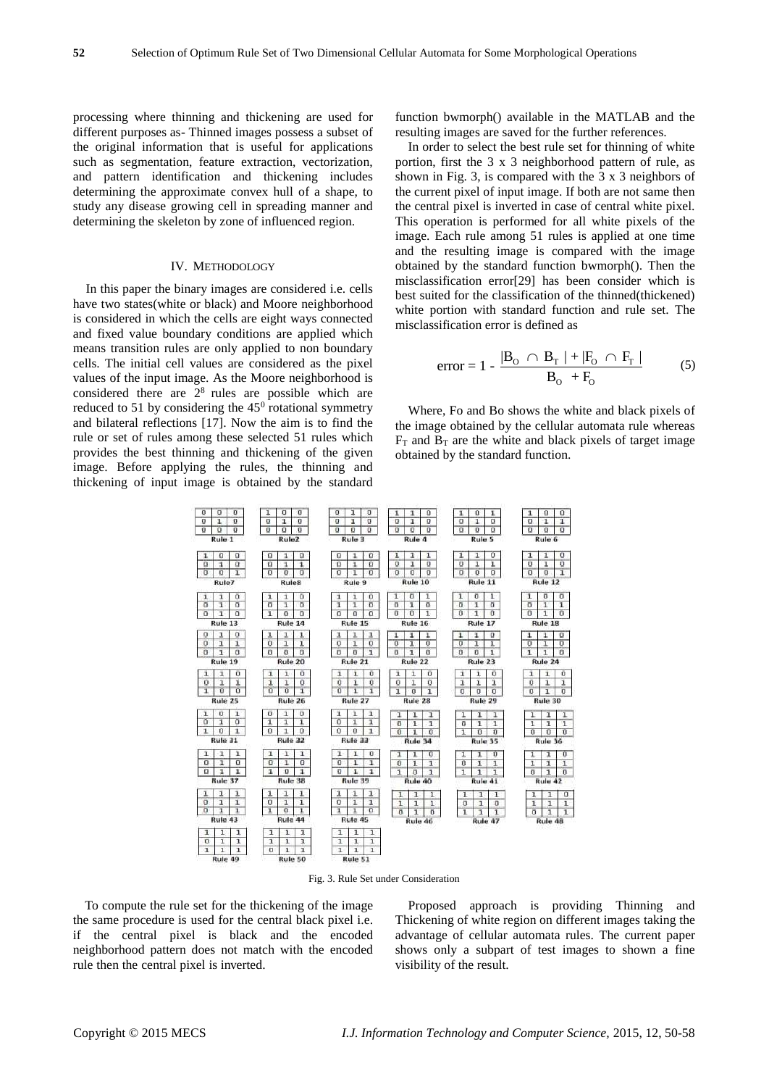processing where thinning and thickening are used for different purposes as- Thinned images possess a subset of the original information that is useful for applications such as segmentation, feature extraction, vectorization, and pattern identification and thickening includes determining the approximate convex hull of a shape, to study any disease growing cell in spreading manner and determining the skeleton by zone of influenced region.

#### IV. METHODOLOGY

In this paper the binary images are considered i.e. cells have two states(white or black) and Moore neighborhood is considered in which the cells are eight ways connected and fixed value boundary conditions are applied which means transition rules are only applied to non boundary cells. The initial cell values are considered as the pixel values of the input image. As the Moore neighborhood is considered there are  $2<sup>8</sup>$  rules are possible which are reduced to 51 by considering the  $45^{\circ}$  rotational symmetry and bilateral reflections [17]. Now the aim is to find the rule or set of rules among these selected 51 rules which provides the best thinning and thickening of the given image. Before applying the rules, the thinning and thickening of input image is obtained by the standard

function bwmorph() available in the MATLAB and the resulting images are saved for the further references.

In order to select the best rule set for thinning of white portion, first the 3 x 3 neighborhood pattern of rule, as shown in Fig. 3, is compared with the 3 x 3 neighbors of the current pixel of input image. If both are not same then the central pixel is inverted in case of central white pixel. This operation is performed for all white pixels of the image. Each rule among 51 rules is applied at one time and the resulting image is compared with the image obtained by the standard function bwmorph(). Then the misclassification error[29] has been consider which is best suited for the classification of the thinned(thickened) white portion with standard function and rule set. The misclassification error is defined as

error = 
$$
1 - \frac{|B_0 \cap B_T| + |F_0 \cap F_T|}{B_0 + F_0}
$$
 (5)

Where, Fo and Bo shows the white and black pixels of the image obtained by the cellular automata rule whereas  $F_T$  and  $B_T$  are the white and black pixels of target image obtained by the standard function.



Fig. 3. Rule Set under Consideration

To compute the rule set for the thickening of the image the same procedure is used for the central black pixel i.e. if the central pixel is black and the encoded neighborhood pattern does not match with the encoded rule then the central pixel is inverted.

Proposed approach is providing Thinning and Thickening of white region on different images taking the advantage of cellular automata rules. The current paper shows only a subpart of test images to shown a fine visibility of the result.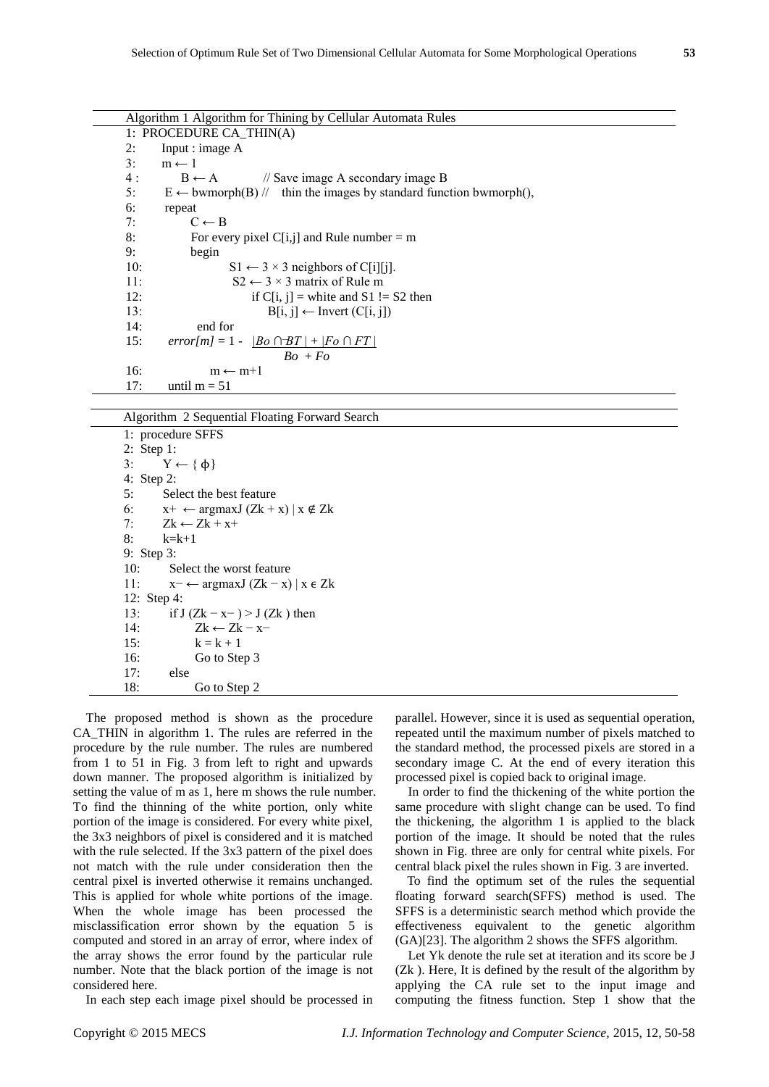| Algorithm 1 Algorithm for Thining by Cellular Automata Rules |                                                                                               |  |  |  |  |  |
|--------------------------------------------------------------|-----------------------------------------------------------------------------------------------|--|--|--|--|--|
|                                                              | 1: PROCEDURE CA THIN(A)                                                                       |  |  |  |  |  |
| 2:                                                           | Input : image A                                                                               |  |  |  |  |  |
| 3:                                                           | $m \leftarrow 1$                                                                              |  |  |  |  |  |
| 4:                                                           | $B \leftarrow A$ // Save image A secondary image B                                            |  |  |  |  |  |
| 5:                                                           | $E \leftarrow$ bwmorph(B) // thin the images by standard function bwmorph(),                  |  |  |  |  |  |
| 6:                                                           | repeat                                                                                        |  |  |  |  |  |
| 7:                                                           | $C \leftarrow B$                                                                              |  |  |  |  |  |
| 8:                                                           | For every pixel $C[i, j]$ and Rule number = m                                                 |  |  |  |  |  |
| 9:                                                           | begin                                                                                         |  |  |  |  |  |
| 10:                                                          | $S1 \leftarrow 3 \times 3$ neighbors of C[i][j].                                              |  |  |  |  |  |
| 11:                                                          | $S2 \leftarrow 3 \times 3$ matrix of Rule m                                                   |  |  |  |  |  |
| 12:                                                          | if C[i, j] = white and S1 != S2 then                                                          |  |  |  |  |  |
| 13:                                                          | $B[i, j] \leftarrow Invert (C[i, j])$                                                         |  |  |  |  |  |
| 14:                                                          | end for                                                                                       |  |  |  |  |  |
| 15:                                                          | error[m] = 1 - $\left  \underline{Bo} \cap \overline{B}T \right  + \left  Fo \cap FT \right $ |  |  |  |  |  |
|                                                              | $Bo + Fo$                                                                                     |  |  |  |  |  |
| 16:                                                          | $m \leftarrow m+1$                                                                            |  |  |  |  |  |
| 17:                                                          | until $m = 51$                                                                                |  |  |  |  |  |
|                                                              |                                                                                               |  |  |  |  |  |

Algorithm 2 Sequential Floating Forward Search

```
1: procedure SFFS
2: Step 1:
3: Y \leftarrow \{\phi\}4: Step 2:
5: Select the best feature
6: x^+ \leftarrow \text{argmaxJ} (Zk + x) | x \notin Zk7: Zk \leftarrow Zk + x+8: k=k+1
9: Step 3:
10: Select the worst feature
11: x-← argmaxJ (Zk-x) | x \in Zk12: Step 4:
13: if J (Zk - x<sup>-</sup>) > J (Zk) then
14: Zk \leftarrow Zk - x-15: k = k + 116: Go to Step 3
17: else
18: Go to Step 2
```
The proposed method is shown as the procedure CA\_THIN in algorithm 1. The rules are referred in the procedure by the rule number. The rules are numbered from 1 to 51 in Fig. 3 from left to right and upwards down manner. The proposed algorithm is initialized by setting the value of m as 1, here m shows the rule number. To find the thinning of the white portion, only white portion of the image is considered. For every white pixel, the 3x3 neighbors of pixel is considered and it is matched with the rule selected. If the 3x3 pattern of the pixel does not match with the rule under consideration then the central pixel is inverted otherwise it remains unchanged. This is applied for whole white portions of the image. When the whole image has been processed the misclassification error shown by the equation 5 is computed and stored in an array of error, where index of the array shows the error found by the particular rule number. Note that the black portion of the image is not considered here.

In each step each image pixel should be processed in

parallel. However, since it is used as sequential operation, repeated until the maximum number of pixels matched to the standard method, the processed pixels are stored in a secondary image C. At the end of every iteration this processed pixel is copied back to original image.

In order to find the thickening of the white portion the same procedure with slight change can be used. To find the thickening, the algorithm 1 is applied to the black portion of the image. It should be noted that the rules shown in Fig. three are only for central white pixels. For central black pixel the rules shown in Fig. 3 are inverted.

To find the optimum set of the rules the sequential floating forward search(SFFS) method is used. The SFFS is a deterministic search method which provide the effectiveness equivalent to the genetic algorithm (GA)[23]. The algorithm 2 shows the SFFS algorithm.

Let Yk denote the rule set at iteration and its score be J (Zk ). Here, It is defined by the result of the algorithm by applying the CA rule set to the input image and computing the fitness function. Step 1 show that the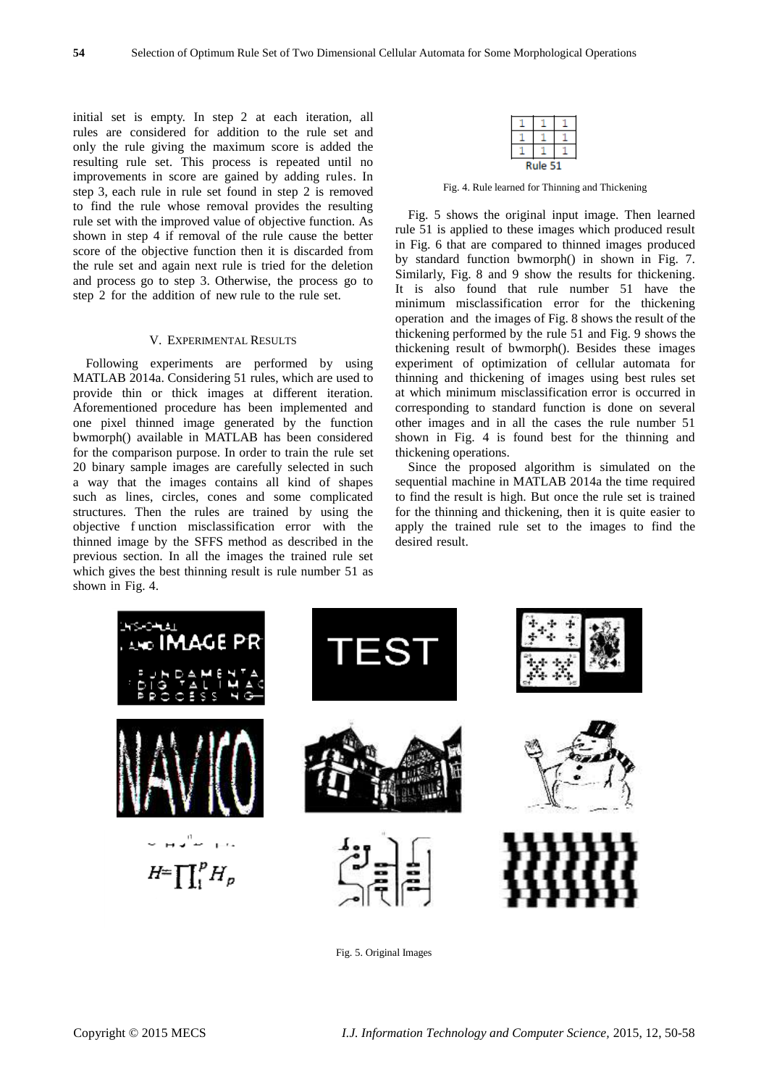initial set is empty. In step 2 at each iteration, all rules are considered for addition to the rule set and only the rule giving the maximum score is added the resulting rule set. This process is repeated until no improvements in score are gained by adding rules. In step 3, each rule in rule set found in step 2 is removed to find the rule whose removal provides the resulting rule set with the improved value of objective function. As shown in step 4 if removal of the rule cause the better score of the objective function then it is discarded from the rule set and again next rule is tried for the deletion and process go to step 3. Otherwise, the process go to step 2 for the addition of new rule to the rule set.

#### V. EXPERIMENTAL RESULTS

Following experiments are performed by using MATLAB 2014a. Considering 51 rules, which are used to provide thin or thick images at different iteration. Aforementioned procedure has been implemented and one pixel thinned image generated by the function bwmorph() available in MATLAB has been considered for the comparison purpose. In order to train the rule set 20 binary sample images are carefully selected in such a way that the images contains all kind of shapes such as lines, circles, cones and some complicated structures. Then the rules are trained by using the objective f unction misclassification error with the thinned image by the SFFS method as described in the previous section. In all the images the trained rule set which gives the best thinning result is rule number 51 as shown in Fig. 4.

Fig. 4. Rule learned for Thinning and Thickening

Fig. 5 shows the original input image. Then learned rule 51 is applied to these images which produced result in Fig. 6 that are compared to thinned images produced by standard function bwmorph() in shown in Fig. 7. Similarly, Fig. 8 and 9 show the results for thickening. It is also found that rule number 51 have the minimum misclassification error for the thickening operation and the images of Fig. 8 shows the result of the thickening performed by the rule 51 and Fig. 9 shows the thickening result of bwmorph(). Besides these images experiment of optimization of cellular automata for thinning and thickening of images using best rules set at which minimum misclassification error is occurred in corresponding to standard function is done on several other images and in all the cases the rule number 51 shown in Fig. 4 is found best for the thinning and thickening operations.

Since the proposed algorithm is simulated on the sequential machine in MATLAB 2014a the time required to find the result is high. But once the rule set is trained for the thinning and thickening, then it is quite easier to apply the trained rule set to the images to find the desired result.



Fig. 5. Original Images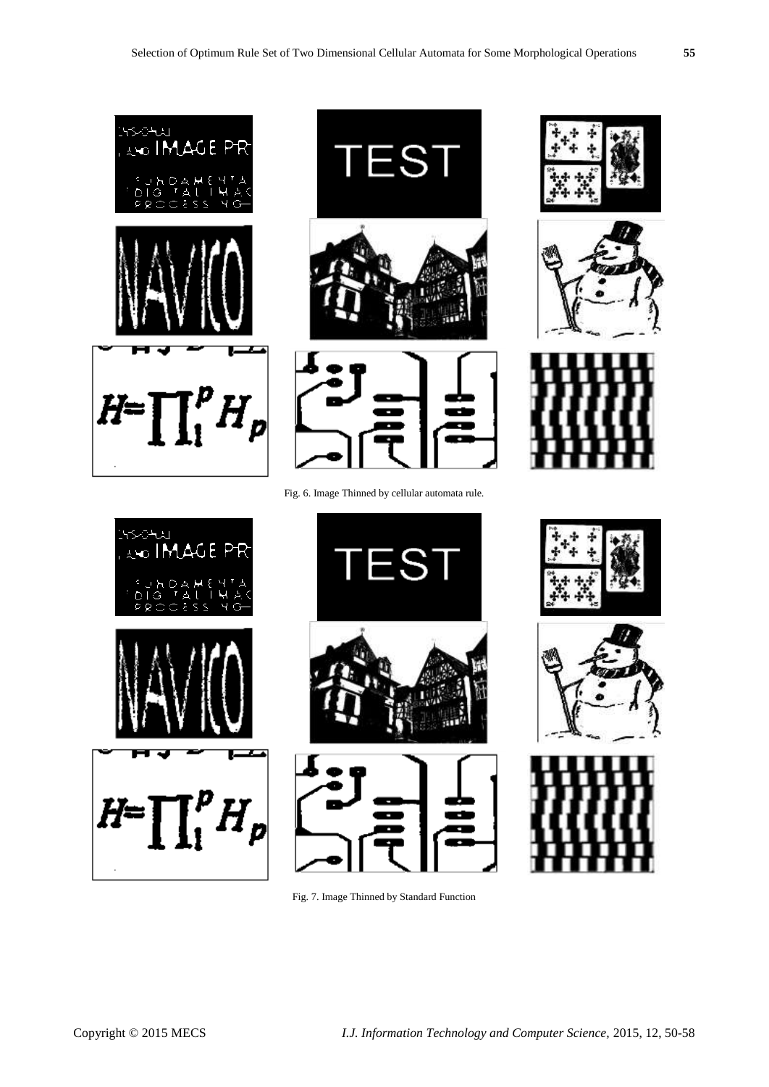







Fig. 6. Image Thinned by cellular automata rule.











![](_page_5_Picture_12.jpeg)

Fig. 7. Image Thinned by Standard Function

![](_page_5_Picture_14.jpeg)

![](_page_5_Picture_15.jpeg)

![](_page_5_Picture_16.jpeg)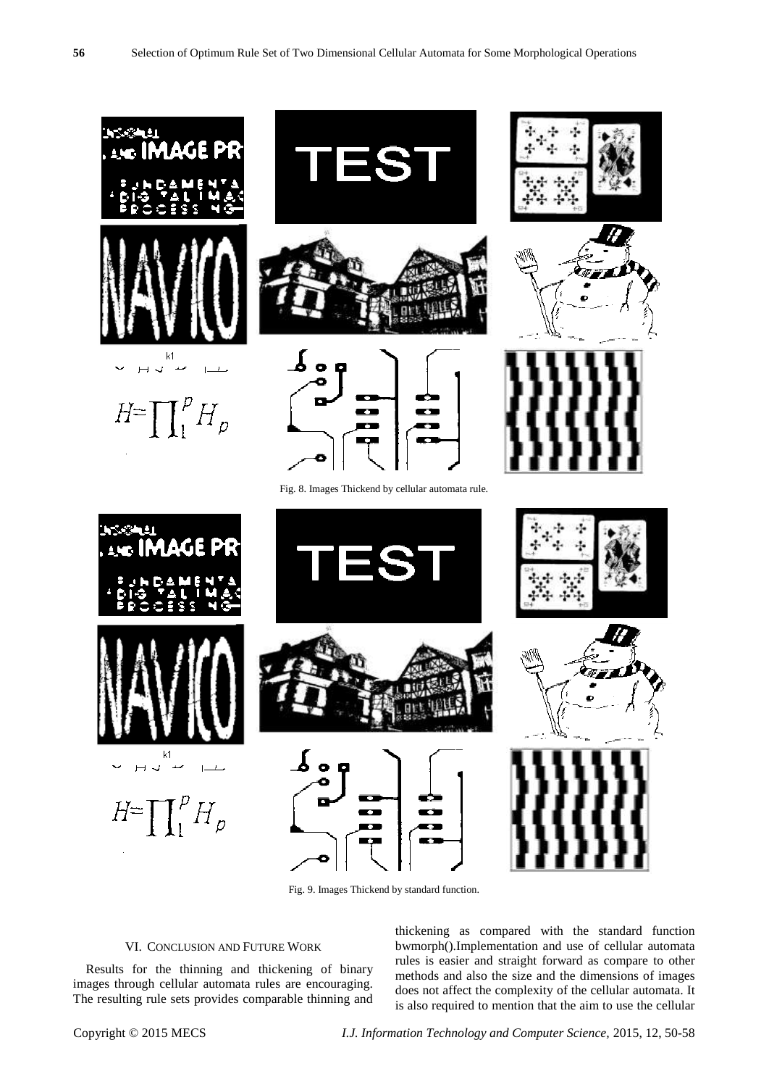![](_page_6_Figure_1.jpeg)

Fig. 9. Images Thickend by standard function.

## VI. CONCLUSION AND FUTURE WORK

Results for the thinning and thickening of binary images through cellular automata rules are encouraging. The resulting rule sets provides comparable thinning and thickening as compared with the standard function bwmorph().Implementation and use of cellular automata rules is easier and straight forward as compare to other methods and also the size and the dimensions of images does not affect the complexity of the cellular automata. It is also required to mention that the aim to use the cellular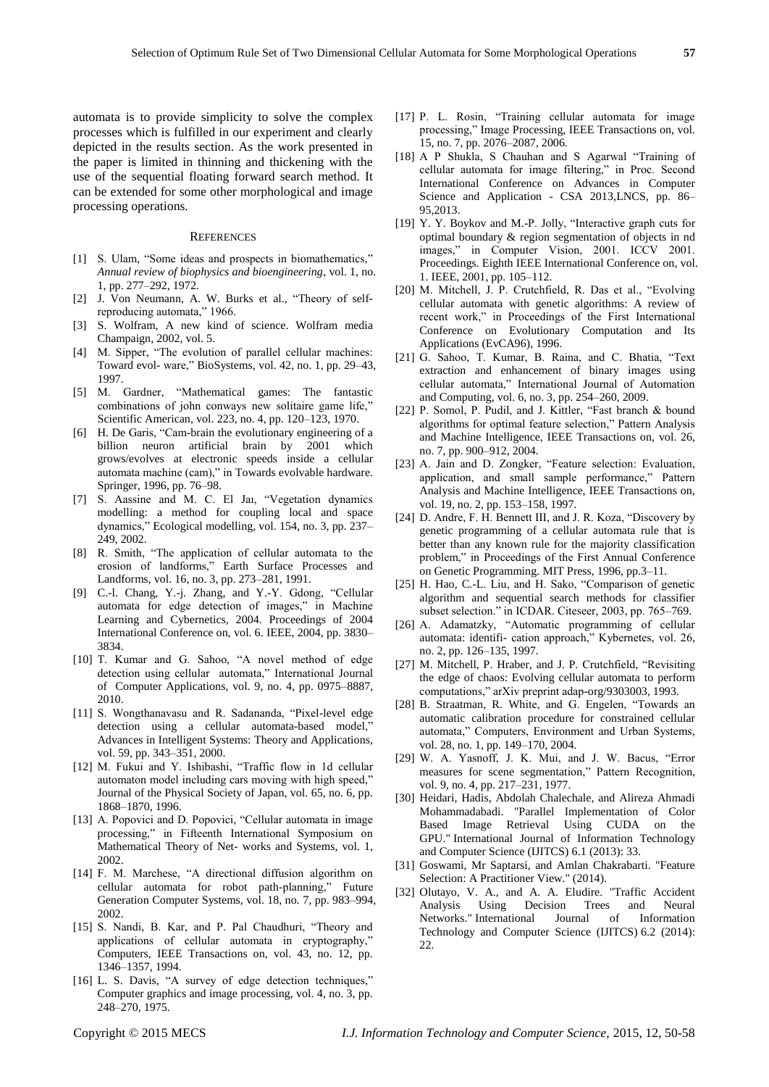automata is to provide simplicity to solve the complex processes which is fulfilled in our experiment and clearly depicted in the results section. As the work presented in the paper is limited in thinning and thickening with the use of the sequential floating forward search method. It can be extended for some other morphological and image processing operations.

#### **REFERENCES**

- [1] S. Ulam, "Some ideas and prospects in biomathematics," *Annual review of biophysics and bioengineering*, vol. 1, no. 1, pp. 277–292, 1972.
- [2] J. Von Neumann, A. W. Burks et al., "Theory of selfreproducing automata," 1966.
- [3] S. Wolfram, A new kind of science. Wolfram media Champaign, 2002, vol. 5.
- [4] M. Sipper, "The evolution of parallel cellular machines: Toward evol- ware," BioSystems, vol. 42, no. 1, pp. 29–43, 1997.
- [5] M. Gardner, "Mathematical games: The fantastic combinations of john conways new solitaire game life," Scientific American, vol. 223, no. 4, pp. 120–123, 1970.
- [6] H. De Garis, "Cam-brain the evolutionary engineering of a billion neuron artificial brain by 2001 which grows/evolves at electronic speeds inside a cellular automata machine (cam)," in Towards evolvable hardware. Springer, 1996, pp. 76–98.
- [7] S. Aassine and M. C. El Jaı, "Vegetation dynamics modelling: a method for coupling local and space dynamics," Ecological modelling, vol. 154, no. 3, pp. 237– 249, 2002.
- [8] R. Smith, "The application of cellular automata to the erosion of landforms," Earth Surface Processes and Landforms, vol. 16, no. 3, pp. 273–281, 1991.
- [9] C.-l. Chang, Y.-j. Zhang, and Y.-Y. Gdong, "Cellular automata for edge detection of images," in Machine Learning and Cybernetics, 2004. Proceedings of 2004 International Conference on, vol. 6. IEEE, 2004, pp. 3830– 3834.
- [10] T. Kumar and G. Sahoo, "A novel method of edge detection using cellular automata," International Journal of Computer Applications, vol. 9, no. 4, pp. 0975–8887, 2010.
- [11] S. Wongthanavasu and R. Sadananda, "Pixel-level edge detection using a cellular automata-based model," Advances in Intelligent Systems: Theory and Applications, vol. 59, pp. 343–351, 2000.
- [12] M. Fukui and Y. Ishibashi, "Traffic flow in 1d cellular automaton model including cars moving with high speed," Journal of the Physical Society of Japan, vol. 65, no. 6, pp. 1868–1870, 1996.
- [13] A. Popovici and D. Popovici, "Cellular automata in image processing," in Fifteenth International Symposium on Mathematical Theory of Net- works and Systems, vol. 1, 2002.
- [14] F. M. Marchese, "A directional diffusion algorithm on cellular automata for robot path-planning," Future Generation Computer Systems, vol. 18, no. 7, pp. 983–994, 2002.
- [15] S. Nandi, B. Kar, and P. Pal Chaudhuri, "Theory and applications of cellular automata in cryptography," Computers, IEEE Transactions on, vol. 43, no. 12, pp. 1346–1357, 1994.
- [16] L. S. Davis, "A survey of edge detection techniques," Computer graphics and image processing, vol. 4, no. 3, pp. 248–270, 1975.
- [17] P. L. Rosin, "Training cellular automata for image processing," Image Processing, IEEE Transactions on, vol. 15, no. 7, pp. 2076–2087, 2006.
- [18] A P Shukla, S Chauhan and S Agarwal "Training of cellular automata for image filtering," in Proc. Second International Conference on Advances in Computer Science and Application - CSA 2013,LNCS, pp. 86– 95,2013.
- [19] Y. Y. Boykov and M.-P. Jolly, "Interactive graph cuts for optimal boundary & region segmentation of objects in nd images," in Computer Vision, 2001. ICCV 2001. Proceedings. Eighth IEEE International Conference on, vol. 1. IEEE, 2001, pp. 105–112.
- [20] M. Mitchell, J. P. Crutchfield, R. Das et al., "Evolving cellular automata with genetic algorithms: A review of recent work," in Proceedings of the First International Conference on Evolutionary Computation and Its Applications (EvCA96), 1996.
- [21] G. Sahoo, T. Kumar, B. Raina, and C. Bhatia, "Text extraction and enhancement of binary images using cellular automata," International Journal of Automation and Computing, vol. 6, no. 3, pp. 254–260, 2009.
- [22] P. Somol, P. Pudil, and J. Kittler, "Fast branch & bound algorithms for optimal feature selection," Pattern Analysis and Machine Intelligence, IEEE Transactions on, vol. 26, no. 7, pp. 900–912, 2004.
- [23] A. Jain and D. Zongker, "Feature selection: Evaluation, application, and small sample performance," Pattern Analysis and Machine Intelligence, IEEE Transactions on, vol. 19, no. 2, pp. 153–158, 1997.
- [24] D. Andre, F. H. Bennett III, and J. R. Koza, "Discovery by genetic programming of a cellular automata rule that is better than any known rule for the majority classification problem," in Proceedings of the First Annual Conference on Genetic Programming. MIT Press, 1996, pp.3–11.
- [25] H. Hao, C.-L. Liu, and H. Sako, "Comparison of genetic algorithm and sequential search methods for classifier subset selection." in ICDAR. Citeseer, 2003, pp. 765–769.
- [26] A. Adamatzky, "Automatic programming of cellular automata: identifi- cation approach," Kybernetes, vol. 26, no. 2, pp. 126–135, 1997.
- [27] M. Mitchell, P. Hraber, and J. P. Crutchfield, "Revisiting the edge of chaos: Evolving cellular automata to perform computations," arXiv preprint adap-org/9303003, 1993.
- [28] B. Straatman, R. White, and G. Engelen, "Towards an automatic calibration procedure for constrained cellular automata," Computers, Environment and Urban Systems, vol. 28, no. 1, pp. 149–170, 2004.
- [29] W. A. Yasnoff, J. K. Mui, and J. W. Bacus, "Error measures for scene segmentation," Pattern Recognition, vol. 9, no. 4, pp. 217–231, 1977.
- [30] Heidari, Hadis, Abdolah Chalechale, and Alireza Ahmadi Mohammadabadi. "Parallel Implementation of Color Based Image Retrieval Using CUDA on the GPU." International Journal of Information Technology and Computer Science (IJITCS) 6.1 (2013): 33.
- [31] Goswami, Mr Saptarsi, and Amlan Chakrabarti. "Feature Selection: A Practitioner View." (2014).
- [32] Olutayo, V. A., and A. A. Eludire. "Traffic Accident Analysis Using Decision Trees and Neural Journal of Information Technology and Computer Science (IJITCS) 6.2 (2014): 22.